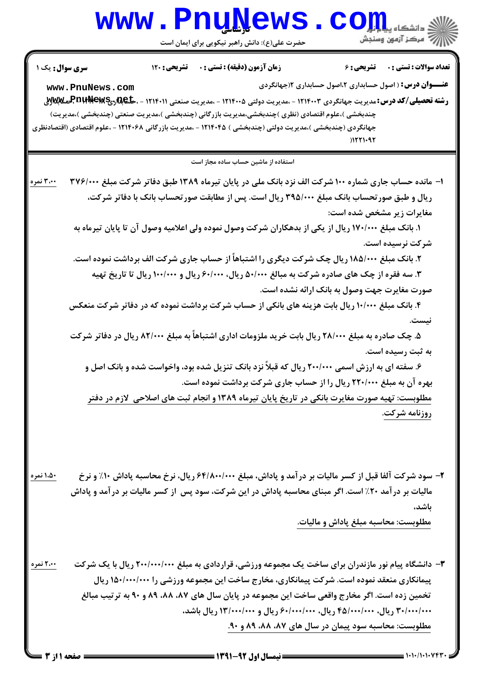## Www.PnuNews.com

|                                                                                                                                          | <b>سری سوال :</b> یک ۱ | تشريحي : 120 | زمان آزمون (دقيقه) : تستى : 0                                                                              | <b>تشریحی : ۶</b>                                               | تعداد سوالات : تستى : ٠ |  |  |  |
|------------------------------------------------------------------------------------------------------------------------------------------|------------------------|--------------|------------------------------------------------------------------------------------------------------------|-----------------------------------------------------------------|-------------------------|--|--|--|
| www.PnuNews.com                                                                                                                          |                        |              |                                                                                                            | <b>عنـــوان درس:</b> ( اصول حسابداری ۲،اصول حسابداری ۱(جهانگردی |                         |  |  |  |
| <b>رشته تحصیلی/کد درس:</b> مدیریت جهانگردی ۱۲۱۴۰۰۳ - ،مدیریت دولتی ۱۲۱۴۰۰۵ - ،مدیریت صنعتی ۳ <b>۱۱۴۰۱۱ - ،حکیمالپوتالپوتالپوتالپوتال</b> |                        |              |                                                                                                            |                                                                 |                         |  |  |  |
|                                                                                                                                          |                        |              | چندبخشی )،علوم اقتصادی (نظری )چندبخشی،مدیریت بازرگانی (چندبخشی )،مدیریت صنعتی (چندبخشی )،مدیریت)           |                                                                 |                         |  |  |  |
|                                                                                                                                          |                        |              | جهانگردی (چندبخشی )،مدیریت دولتی (چندبخشی ) ۱۲۱۴۰۴۵ - ،مدیریت بازرگانی ۱۲۱۴۰۶۸ - ،علوم اقتصادی (اقتصادنظری |                                                                 |                         |  |  |  |
|                                                                                                                                          |                        |              |                                                                                                            | 11211.92                                                        |                         |  |  |  |
| استفاده از ماشین حساب ساده مجاز است                                                                                                      |                        |              |                                                                                                            |                                                                 |                         |  |  |  |
| ۳،۰۰ نمره                                                                                                                                |                        |              | ا- مانده حساب جاری شماره ۱۰۰ شرکت الف نزد بانک ملی در پایان تیرماه ۱۳۸۹ طبق دفاتر شرکت مبلغ ۳۷۶/۰۰۰        |                                                                 |                         |  |  |  |
|                                                                                                                                          |                        |              | ریال و طبق صورتحساب بانک مبلغ ۳۹۵/۰۰۰ ریال است. پس از مطابقت صورتحساب بانک با دفاتر شرکت،                  |                                                                 |                         |  |  |  |
|                                                                                                                                          |                        |              |                                                                                                            | مغایرات زیر مشخص شده است:                                       |                         |  |  |  |
|                                                                                                                                          |                        |              | ۱. بانک مبلغ ۱۷۰/۰۰۰ ریال از یکی از بدهکاران شرکت وصول نموده ولی اعلامیه وصول آن تا پایان تیرماه به        |                                                                 |                         |  |  |  |
|                                                                                                                                          |                        |              |                                                                                                            |                                                                 | شرکت نرسیده است.        |  |  |  |
|                                                                                                                                          |                        |              | ۲. بانک مبلغ ۱۸۵/۰۰۰ ریال چک شرکت دیگری را اشتباهاً از حساب جاری شرکت الف برداشت نموده است.                |                                                                 |                         |  |  |  |
|                                                                                                                                          |                        |              | ۳. سه فقره از چک های صادره شرکت به مبالغ ۵۰/۰۰۰ ریال، ۶۰/۰۰۰ ریال و ۱۰۰/۰۰۰ ریال تا تاریخ تهیه             |                                                                 |                         |  |  |  |
|                                                                                                                                          |                        |              |                                                                                                            | صورت مغایرت جهت وصول به بانک ارائه نشده است.                    |                         |  |  |  |
|                                                                                                                                          |                        |              | ۴. بانک مبلغ ۱۰/۰۰۰ ریال بابت هزینه های بانکی از حساب شرکت برداشت نموده که در دفاتر شرکت منعکس             |                                                                 |                         |  |  |  |
|                                                                                                                                          |                        |              |                                                                                                            |                                                                 | نىسن                    |  |  |  |
|                                                                                                                                          |                        |              | ۵. چک صادره به مبلغ ۲۸/۰۰۰ ریال بابت خرید ملزومات اداری اشتباهاً به مبلغ ۸۲/۰۰۰ ریال در دفاتر شرکت         |                                                                 |                         |  |  |  |
|                                                                                                                                          |                        |              |                                                                                                            |                                                                 | به ثبت رسیده است.       |  |  |  |
|                                                                                                                                          |                        |              | ۶. سفته ای به ارزش اسمی ۲۰۰/۰۰۰ ریال که قبلاً نزد بانک تنزیل شده بود، واخواست شده و بانک اصل و             |                                                                 |                         |  |  |  |
|                                                                                                                                          |                        |              | بهره آن به مبلغ ۲۲۰/۰۰۰ ریال را از حساب جاری شرکت برداشت نموده است.                                        |                                                                 |                         |  |  |  |
|                                                                                                                                          |                        |              | <u>مطلوبست: تهیه صورت مغایرت بانکی در تاریخ پایان تیرماه ۱۳۸۹ و انجام ثبت های اصلاحی ِ لازم در دفتر</u>    |                                                                 |                         |  |  |  |
|                                                                                                                                          |                        |              |                                                                                                            |                                                                 | روزنامه شركت.           |  |  |  |
|                                                                                                                                          |                        |              |                                                                                                            |                                                                 |                         |  |  |  |
| ۱،۵۰ نمره                                                                                                                                |                        |              | ۲- سود شرکت آلفا قبل از کسر مالیات بر درآمد و پاداش، مبلغ ۶۴/۸۰۰/۰۰۰ ریال، نرخ محاسبه پاداش ۱۰٪ و نرخ      |                                                                 |                         |  |  |  |
|                                                                                                                                          |                        |              | مالیات بر در آمد ۲۰٪ است. اگر مبنای محاسبه پاداش در این شرکت، سود پس ًاز کسر مالیات بر در آمد و پاداش      |                                                                 |                         |  |  |  |
|                                                                                                                                          |                        |              |                                                                                                            |                                                                 | باشد،                   |  |  |  |
|                                                                                                                                          |                        |              |                                                                                                            | مطلوبست: محاسبه مبلغ پاداش و مالیات.                            |                         |  |  |  |
| ۲،۰۰ نمره                                                                                                                                |                        |              | ۳- دانشگاه پیام نور مازندران برای ساخت یک مجموعه ورزشی، قراردادی به مبلغ ۲۰۰/۰۰۰/۰۰۰ ریال با یک شرکت       |                                                                 |                         |  |  |  |
|                                                                                                                                          |                        |              | پیمانکاری منعقد نموده است. شرکت پیمانکاری، مخارج ساخت این مجموعه ورزشی را ۱۵۰/۰۰۰/۰۰۰ ریال                 |                                                                 |                         |  |  |  |
|                                                                                                                                          |                        |              | تخمین زده است. اگر مخارج واقعی ساخت این مجموعه در پایان سال های ۸۷، ۸۸، ۸۹ و ۹۰ به ترتیب مبالغ             |                                                                 |                         |  |  |  |
|                                                                                                                                          |                        |              | ۳۰/۰۰۰/۰۰۰ ریال، ۴۵/۰۰۰/۰۰۰ ریال، ۶۰/۰۰۰/۰۰۰ ریال و ۱۳/۰۰۰/۰۰۰ ریال باشد،                                  |                                                                 |                         |  |  |  |
|                                                                                                                                          |                        |              | مطلوبست: محاسبه سود پیمان در سال های ۸۷، ۸۸، ۸۹ و ۹۰.                                                      |                                                                 |                         |  |  |  |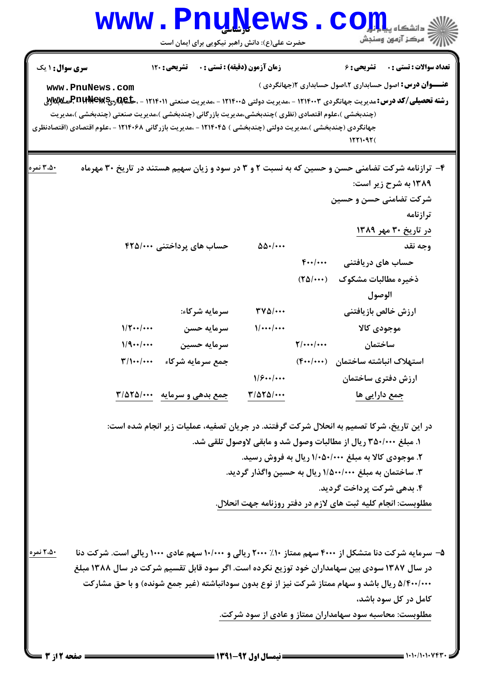## **www.PnuNews.com** ||// مرکز آزمون وسنجش حضرت علی(ع): دانش راهبر نیکویی برای ایمان است **سری سوال :** ۱ یک **زمان آزمون (دقیقه) : تستی : . ۔ ۔ تشریحی: 120 تعداد سوالات : تستي : . \_ \_ تشريحي : 6 عنـــوان درس:** اصول حسابداری ۲،اصول حسابداری ۲(جهانگردی ) www.PnuNews.com **رشته تحصیلی/کد درس: مدیریت جهانگردی ۱۲۱۴۰۰۳ - ،مدیریت دولتی ۱۲۱۴۰۰۵ - ،مدیریت صنعتی ۱۲۱۴۰۱۱ - ،حا@RAR برPD بهRسی ARR** (چندبخشی )،علوم اقتصادی (نظری )چندبخشی،مدیریت بازرگانی (چندبخشی )،مدیریت صنعتی (چندبخشی )،مدیریت جهانگردی (چندبخشی )،مدیریت دولتی (چندبخشی ) ۱۲۱۴۰۴۵ - ،مدیریت بازرگانی ۱۲۱۴۰۶۸ - ،علوم اقتصادی (اقتصادنظری  $1551.977$

۳،۵۰ نم<mark>ره</mark> ۴- ترازنامه شرکت تضامنی حسن و حسین که به نسبت ۲ و ۳ در سود و زیان سهیم هستند در تاریخ ۳۰ مهرماه ۱۳۸۹ به شرح زیر است: شرکت تضامنی حسن و حسین ترازنامه در تاریخ ۳۰ مهر ۱۳۸۹ حساب های پرداختنی ۴۲۵/۰۰۰ وحه نقد  $\Delta\Delta$  .  $\cdots$  $F\cdots$ حساب های دریافتنی ذخيره مطالبات مشكوك (٢٥/٠٠٠) الوصول سرمايه شركاء:  $\mathbf{r} \mathbf{v} \mathbf{w}$ ارزش خالص بازيافتنى  $1/\Upsilon$  ... سرمايه حسن  $1/.../...$ موجودي كالا  $1/9 \cdots$ سرمايه حسين  $\mathbf{Y}$ /.../... ساختمان  $\mathbf{r}/\mathbf{1}$ ... جمع سرمايه شركاء استهلاک انباشته ساختمان (۴۰۰/۰۰۰)  $1/8...$ ارزش دفتري ساختمان جمع بدهی و سرمایه ٣/٥٢٥/٠٠٠  $T/\Delta T\Delta/\cdots$ جمع دارایی ها

> در این تاریخ، شرکا تصمیم به انحلال شرکت گرفتند. در جریان تصفیه، عملیات زیر انجام شده است: ۱. مبلغ ۳۵۰/۰۰۰ ریال از مطالبات وصول شد و مابقی لاوصول تلقی شد. ۲. موجودی کالا به مبلغ ۱/۰۵۰/۰۰۰ ریال به فروش رسید. ۳. ساختمان به مبلغ ۱/۵۰۰/۰۰۰ ریال به حسین واگذار گردید. ۴. بدهی شرکت پرداخت گردید. مطلوبست: انجام کلیه ثبت های لازم در دفتر روزنامه جهت انحلال.

۲،۵۰ نمره ۵- سرمایه شرکت دنا متشکل از ۴۰۰۰ سهم ممتاز ۱۰٪ ۲۰۰۰ ریالی و ۱۰/۰۰۰ سهم عادی ۱۰۰۰ ریالی است. شرکت دنا در سال ۱۳۸۷ سودی بین سهامداران خود توزیع نکرده است. اگر سود قابل تقسیم شرکت در سال ۱۳۸۸ مبلغ ۵/۴۰۰/۰۰۰ ریال باشد و سهام ممتاز شرکت نیز از نوع بدون سودانباشته (غیر جمع شونده) و با حق مشارکت کامل در کل سود باشد، مطلوبست: محاسبه سود سهامداران ممتاز و عادی از سود شرکت.